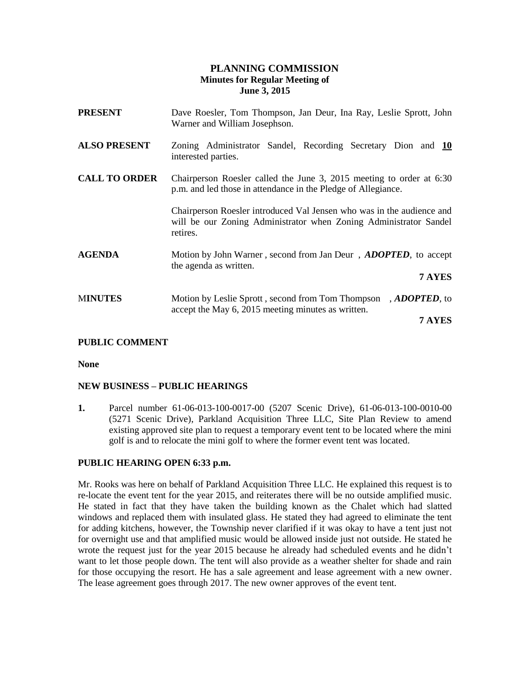# **PLANNING COMMISSION Minutes for Regular Meeting of June 3, 2015**

| <b>PRESENT</b>       | Dave Roesler, Tom Thompson, Jan Deur, Ina Ray, Leslie Sprott, John<br>Warner and William Josephson.                                                    |
|----------------------|--------------------------------------------------------------------------------------------------------------------------------------------------------|
| <b>ALSO PRESENT</b>  | Zoning Administrator Sandel, Recording Secretary Dion and 10<br>interested parties.                                                                    |
| <b>CALL TO ORDER</b> | Chairperson Roesler called the June 3, 2015 meeting to order at 6:30<br>p.m. and led those in attendance in the Pledge of Allegiance.                  |
|                      | Chairperson Roesler introduced Val Jensen who was in the audience and<br>will be our Zoning Administrator when Zoning Administrator Sandel<br>retires. |
| <b>AGENDA</b>        | Motion by John Warner, second from Jan Deur, <i>ADOPTED</i> , to accept<br>the agenda as written.                                                      |
|                      | 7 AYES                                                                                                                                                 |
| <b>MINUTES</b>       | Motion by Leslie Sprott, second from Tom Thompson, ADOPTED, to<br>accept the May 6, 2015 meeting minutes as written.                                   |
|                      | 7 AYES                                                                                                                                                 |

## **PUBLIC COMMENT**

**None**

## **NEW BUSINESS – PUBLIC HEARINGS**

**1.** Parcel number 61-06-013-100-0017-00 (5207 Scenic Drive), 61-06-013-100-0010-00 (5271 Scenic Drive), Parkland Acquisition Three LLC, Site Plan Review to amend existing approved site plan to request a temporary event tent to be located where the mini golf is and to relocate the mini golf to where the former event tent was located.

## **PUBLIC HEARING OPEN 6:33 p.m.**

Mr. Rooks was here on behalf of Parkland Acquisition Three LLC. He explained this request is to re-locate the event tent for the year 2015, and reiterates there will be no outside amplified music. He stated in fact that they have taken the building known as the Chalet which had slatted windows and replaced them with insulated glass. He stated they had agreed to eliminate the tent for adding kitchens, however, the Township never clarified if it was okay to have a tent just not for overnight use and that amplified music would be allowed inside just not outside. He stated he wrote the request just for the year 2015 because he already had scheduled events and he didn't want to let those people down. The tent will also provide as a weather shelter for shade and rain for those occupying the resort. He has a sale agreement and lease agreement with a new owner. The lease agreement goes through 2017. The new owner approves of the event tent.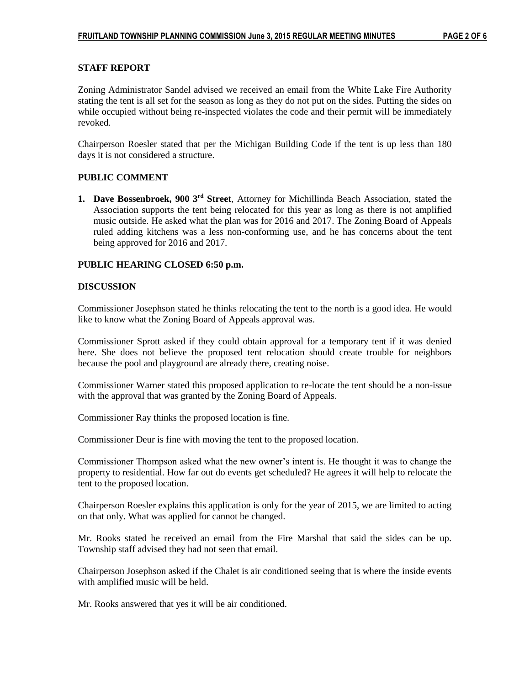### **STAFF REPORT**

Zoning Administrator Sandel advised we received an email from the White Lake Fire Authority stating the tent is all set for the season as long as they do not put on the sides. Putting the sides on while occupied without being re-inspected violates the code and their permit will be immediately revoked.

Chairperson Roesler stated that per the Michigan Building Code if the tent is up less than 180 days it is not considered a structure.

#### **PUBLIC COMMENT**

**1. Dave Bossenbroek, 900 3rd Street**, Attorney for Michillinda Beach Association, stated the Association supports the tent being relocated for this year as long as there is not amplified music outside. He asked what the plan was for 2016 and 2017. The Zoning Board of Appeals ruled adding kitchens was a less non-conforming use, and he has concerns about the tent being approved for 2016 and 2017.

#### **PUBLIC HEARING CLOSED 6:50 p.m.**

#### **DISCUSSION**

Commissioner Josephson stated he thinks relocating the tent to the north is a good idea. He would like to know what the Zoning Board of Appeals approval was.

Commissioner Sprott asked if they could obtain approval for a temporary tent if it was denied here. She does not believe the proposed tent relocation should create trouble for neighbors because the pool and playground are already there, creating noise.

Commissioner Warner stated this proposed application to re-locate the tent should be a non-issue with the approval that was granted by the Zoning Board of Appeals.

Commissioner Ray thinks the proposed location is fine.

Commissioner Deur is fine with moving the tent to the proposed location.

Commissioner Thompson asked what the new owner's intent is. He thought it was to change the property to residential. How far out do events get scheduled? He agrees it will help to relocate the tent to the proposed location.

Chairperson Roesler explains this application is only for the year of 2015, we are limited to acting on that only. What was applied for cannot be changed.

Mr. Rooks stated he received an email from the Fire Marshal that said the sides can be up. Township staff advised they had not seen that email.

Chairperson Josephson asked if the Chalet is air conditioned seeing that is where the inside events with amplified music will be held.

Mr. Rooks answered that yes it will be air conditioned.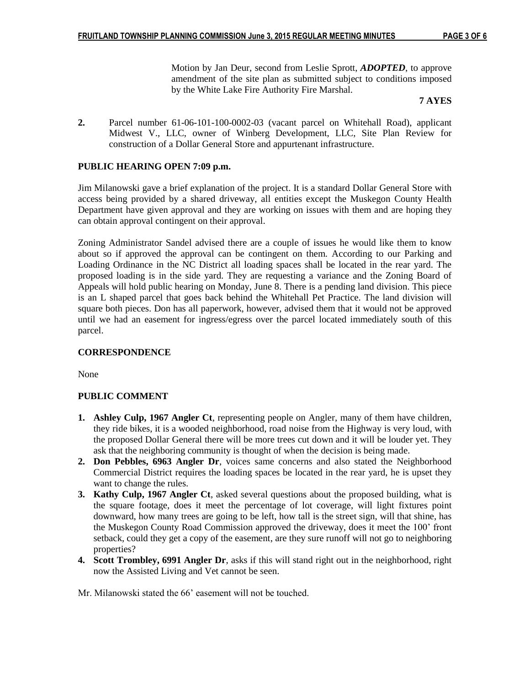Motion by Jan Deur, second from Leslie Sprott, *ADOPTED*, to approve amendment of the site plan as submitted subject to conditions imposed by the White Lake Fire Authority Fire Marshal.

#### **7 AYES**

**2.** Parcel number 61-06-101-100-0002-03 (vacant parcel on Whitehall Road), applicant Midwest V., LLC, owner of Winberg Development, LLC, Site Plan Review for construction of a Dollar General Store and appurtenant infrastructure.

### **PUBLIC HEARING OPEN 7:09 p.m.**

Jim Milanowski gave a brief explanation of the project. It is a standard Dollar General Store with access being provided by a shared driveway, all entities except the Muskegon County Health Department have given approval and they are working on issues with them and are hoping they can obtain approval contingent on their approval.

Zoning Administrator Sandel advised there are a couple of issues he would like them to know about so if approved the approval can be contingent on them. According to our Parking and Loading Ordinance in the NC District all loading spaces shall be located in the rear yard. The proposed loading is in the side yard. They are requesting a variance and the Zoning Board of Appeals will hold public hearing on Monday, June 8. There is a pending land division. This piece is an L shaped parcel that goes back behind the Whitehall Pet Practice. The land division will square both pieces. Don has all paperwork, however, advised them that it would not be approved until we had an easement for ingress/egress over the parcel located immediately south of this parcel.

#### **CORRESPONDENCE**

None

#### **PUBLIC COMMENT**

- **1. Ashley Culp, 1967 Angler Ct**, representing people on Angler, many of them have children, they ride bikes, it is a wooded neighborhood, road noise from the Highway is very loud, with the proposed Dollar General there will be more trees cut down and it will be louder yet. They ask that the neighboring community is thought of when the decision is being made.
- **2. Don Pebbles, 6963 Angler Dr**, voices same concerns and also stated the Neighborhood Commercial District requires the loading spaces be located in the rear yard, he is upset they want to change the rules.
- **3. Kathy Culp, 1967 Angler Ct**, asked several questions about the proposed building, what is the square footage, does it meet the percentage of lot coverage, will light fixtures point downward, how many trees are going to be left, how tall is the street sign, will that shine, has the Muskegon County Road Commission approved the driveway, does it meet the 100' front setback, could they get a copy of the easement, are they sure runoff will not go to neighboring properties?
- **4. Scott Trombley, 6991 Angler Dr**, asks if this will stand right out in the neighborhood, right now the Assisted Living and Vet cannot be seen.

Mr. Milanowski stated the 66' easement will not be touched.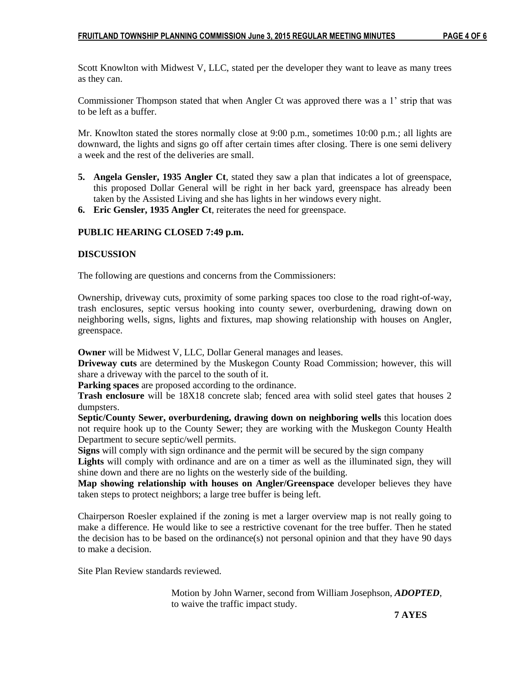Scott Knowlton with Midwest V, LLC, stated per the developer they want to leave as many trees as they can.

Commissioner Thompson stated that when Angler Ct was approved there was a 1' strip that was to be left as a buffer.

Mr. Knowlton stated the stores normally close at 9:00 p.m., sometimes 10:00 p.m.; all lights are downward, the lights and signs go off after certain times after closing. There is one semi delivery a week and the rest of the deliveries are small.

- **5. Angela Gensler, 1935 Angler Ct**, stated they saw a plan that indicates a lot of greenspace, this proposed Dollar General will be right in her back yard, greenspace has already been taken by the Assisted Living and she has lights in her windows every night.
- **6. Eric Gensler, 1935 Angler Ct**, reiterates the need for greenspace.

#### **PUBLIC HEARING CLOSED 7:49 p.m.**

#### **DISCUSSION**

The following are questions and concerns from the Commissioners:

Ownership, driveway cuts, proximity of some parking spaces too close to the road right-of-way, trash enclosures, septic versus hooking into county sewer, overburdening, drawing down on neighboring wells, signs, lights and fixtures, map showing relationship with houses on Angler, greenspace.

**Owner** will be Midwest V, LLC, Dollar General manages and leases.

**Driveway cuts** are determined by the Muskegon County Road Commission; however, this will share a driveway with the parcel to the south of it.

**Parking spaces** are proposed according to the ordinance.

**Trash enclosure** will be 18X18 concrete slab; fenced area with solid steel gates that houses 2 dumpsters.

**Septic/County Sewer, overburdening, drawing down on neighboring wells** this location does not require hook up to the County Sewer; they are working with the Muskegon County Health Department to secure septic/well permits.

**Signs** will comply with sign ordinance and the permit will be secured by the sign company

**Lights** will comply with ordinance and are on a timer as well as the illuminated sign, they will shine down and there are no lights on the westerly side of the building.

**Map showing relationship with houses on Angler/Greenspace** developer believes they have taken steps to protect neighbors; a large tree buffer is being left.

Chairperson Roesler explained if the zoning is met a larger overview map is not really going to make a difference. He would like to see a restrictive covenant for the tree buffer. Then he stated the decision has to be based on the ordinance(s) not personal opinion and that they have 90 days to make a decision.

Site Plan Review standards reviewed.

Motion by John Warner, second from William Josephson, *ADOPTED*, to waive the traffic impact study.

 **7 AYES**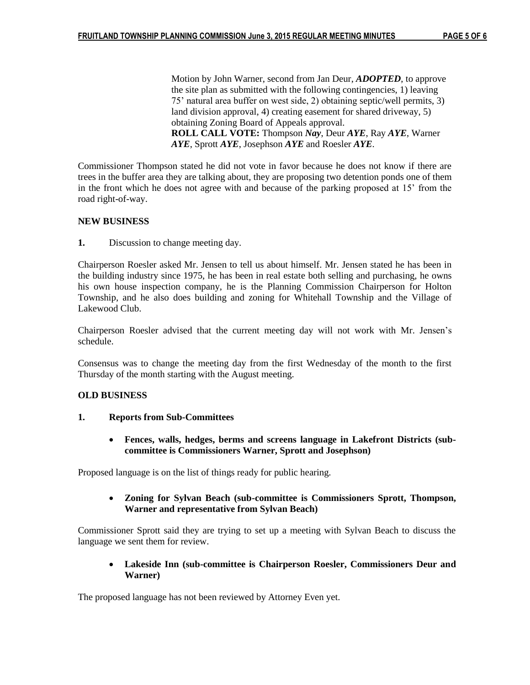Motion by John Warner, second from Jan Deur, *ADOPTED*, to approve the site plan as submitted with the following contingencies, 1) leaving 75' natural area buffer on west side, 2) obtaining septic/well permits, 3) land division approval, 4) creating easement for shared driveway, 5) obtaining Zoning Board of Appeals approval. **ROLL CALL VOTE:** Thompson *Nay*, Deur *AYE*, Ray *AYE*, Warner *AYE*, Sprott *AYE*, Josephson *AYE* and Roesler *AYE*.

Commissioner Thompson stated he did not vote in favor because he does not know if there are trees in the buffer area they are talking about, they are proposing two detention ponds one of them in the front which he does not agree with and because of the parking proposed at 15' from the road right-of-way.

## **NEW BUSINESS**

**1.** Discussion to change meeting day.

Chairperson Roesler asked Mr. Jensen to tell us about himself. Mr. Jensen stated he has been in the building industry since 1975, he has been in real estate both selling and purchasing, he owns his own house inspection company, he is the Planning Commission Chairperson for Holton Township, and he also does building and zoning for Whitehall Township and the Village of Lakewood Club.

Chairperson Roesler advised that the current meeting day will not work with Mr. Jensen's schedule.

Consensus was to change the meeting day from the first Wednesday of the month to the first Thursday of the month starting with the August meeting.

## **OLD BUSINESS**

- **1. Reports from Sub-Committees**
	- **Fences, walls, hedges, berms and screens language in Lakefront Districts (subcommittee is Commissioners Warner, Sprott and Josephson)**

Proposed language is on the list of things ready for public hearing.

 **Zoning for Sylvan Beach (sub-committee is Commissioners Sprott, Thompson, Warner and representative from Sylvan Beach)**

Commissioner Sprott said they are trying to set up a meeting with Sylvan Beach to discuss the language we sent them for review.

 **Lakeside Inn (sub-committee is Chairperson Roesler, Commissioners Deur and Warner)** 

The proposed language has not been reviewed by Attorney Even yet.